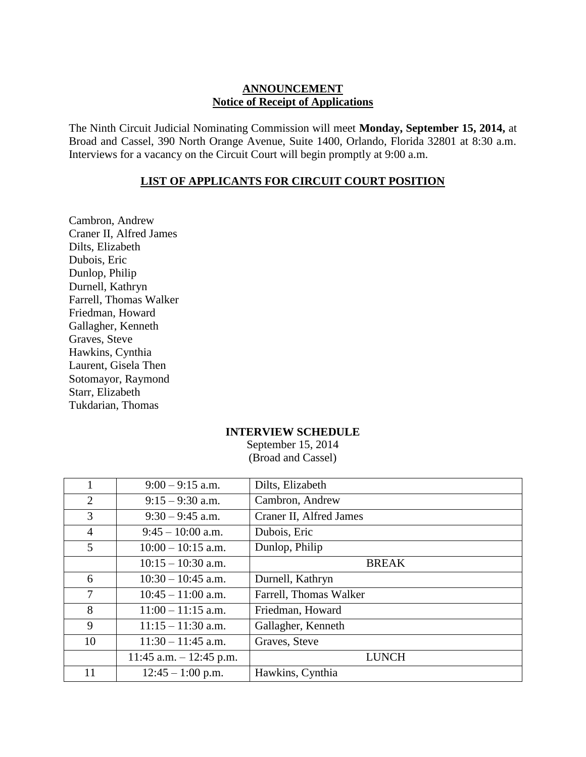## **ANNOUNCEMENT Notice of Receipt of Applications**

The Ninth Circuit Judicial Nominating Commission will meet **Monday, September 15, 2014,** at Broad and Cassel, 390 North Orange Avenue, Suite 1400, Orlando, Florida 32801 at 8:30 a.m. Interviews for a vacancy on the Circuit Court will begin promptly at 9:00 a.m.

## **LIST OF APPLICANTS FOR CIRCUIT COURT POSITION**

Cambron, Andrew Craner II, Alfred James Dilts, Elizabeth Dubois, Eric Dunlop, Philip Durnell, Kathryn Farrell, Thomas Walker Friedman, Howard Gallagher, Kenneth Graves, Steve Hawkins, Cynthia Laurent, Gisela Then Sotomayor, Raymond Starr, Elizabeth Tukdarian, Thomas

## **INTERVIEW SCHEDULE**

September 15, 2014 (Broad and Cassel)

|                | $9:00 - 9:15$ a.m.         | Dilts, Elizabeth        |
|----------------|----------------------------|-------------------------|
| $\overline{2}$ | $9:15 - 9:30$ a.m.         | Cambron, Andrew         |
| 3              | $9:30 - 9:45$ a.m.         | Craner II, Alfred James |
| $\overline{4}$ | $9:45 - 10:00$ a.m.        | Dubois, Eric            |
| 5              | $10:00 - 10:15$ a.m.       | Dunlop, Philip          |
|                | $10:15 - 10:30$ a.m.       | <b>BREAK</b>            |
| 6              | $10:30 - 10:45$ a.m.       | Durnell, Kathryn        |
| $\overline{7}$ | $10:45 - 11:00$ a.m.       | Farrell, Thomas Walker  |
| 8              | $11:00 - 11:15$ a.m.       | Friedman, Howard        |
| 9              | $11:15 - 11:30$ a.m.       | Gallagher, Kenneth      |
| 10             | $11:30 - 11:45$ a.m.       | Graves, Steve           |
|                | $11:45$ a.m. $-12:45$ p.m. | <b>LUNCH</b>            |
| 11             | $12:45 - 1:00$ p.m.        | Hawkins, Cynthia        |